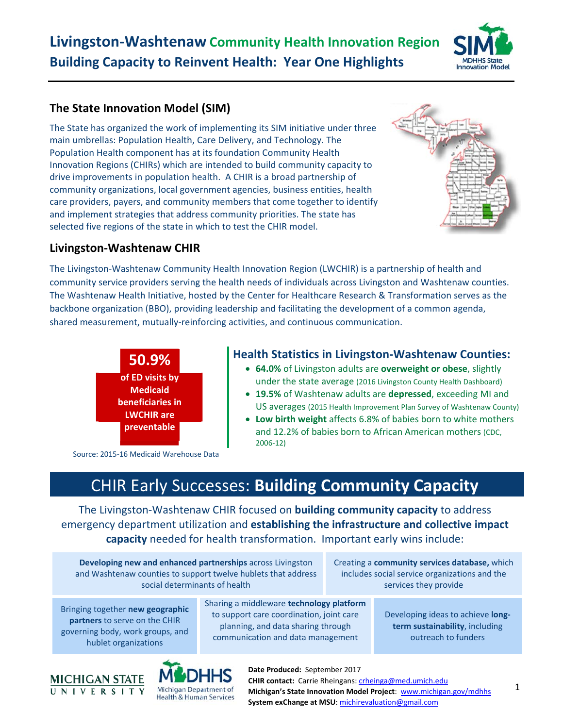# **Livingston‐Washtenaw Community Health Innovation Region Building Capacity to Reinvent Health: Year One Highlights**



## **The State Innovation Model (SIM)**

The State has organized the work of implementing its SIM initiative under three main umbrellas: Population Health, Care Delivery, and Technology. The Population Health component has at its foundation Community Health Innovation Regions (CHIRs) which are intended to build community capacity to drive improvements in population health. A CHIR is a broad partnership of community organizations, local government agencies, business entities, health care providers, payers, and community members that come together to identify and implement strategies that address community priorities. The state has selected five regions of the state in which to test the CHIR model.



### **Livingston‐Washtenaw CHIR**

The Livingston‐Washtenaw Community Health Innovation Region (LWCHIR) is a partnership of health and community service providers serving the health needs of individuals across Livingston and Washtenaw counties. The Washtenaw Health Initiative, hosted by the Center for Healthcare Research & Transformation serves as the backbone organization (BBO), providing leadership and facilitating the development of a common agenda, shared measurement, mutually-reinforcing activities, and continuous communication.



### **Health Statistics in Livingston‐Washtenaw Counties:**

- **64.0%** of Livingston adults are **overweight or obese**, slightly under the state average (2016 Livingston County Health Dashboard)
- **19.5%** of Washtenaw adults are **depressed**, exceeding MI and US averages (2015 Health Improvement Plan Survey of Washtenaw County)
- **Low birth weight** affects 6.8% of babies born to white mothers and 12.2% of babies born to African American mothers (CDC, 2006‐12)

Source: 2015‐16 Medicaid Warehouse Data

# CHIR Early Successes: **Building Community Capacity**

The Livingston‐Washtenaw CHIR focused on **building community capacity** to address emergency department utilization and **establishing the infrastructure and collective impact capacity** needed for health transformation. Important early wins include:

**Developing new and enhanced partnerships** across Livingston and Washtenaw counties to support twelve hublets that address social determinants of health

Creating a **community services database,** which includes social service organizations and the services they provide

Bringing together **new geographic partners** to serve on the CHIR governing body, work groups, and hublet organizations

Sharing a middleware **technology platform** to support care coordination, joint care planning, and data sharing through communication and data management

Developing ideas to achieve **long‐ term sustainability**, including outreach to funders



**Date Produced:**  September 2017 **CHIR contact:** Carrie Rheingans: crheinga@med.umich.edu **Michigan's State Innovation Model Project**: www.michigan.gov/mdhhs **System exChange at MSU**: michirevaluation@gmail.com

1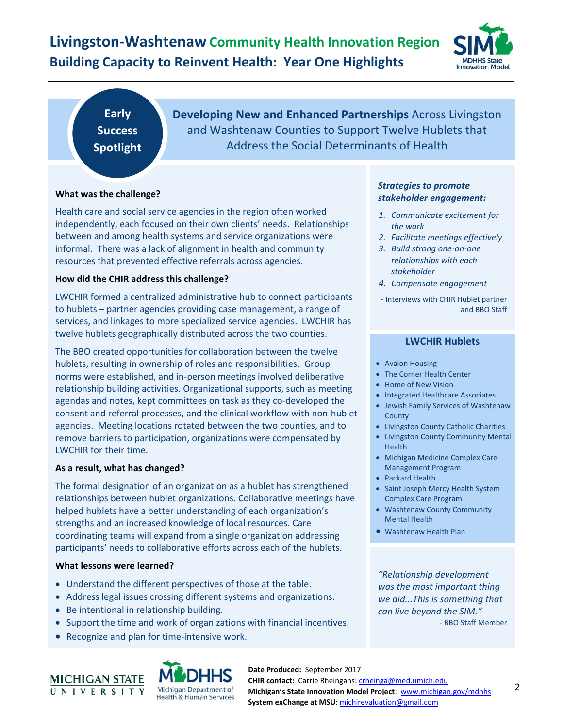## **Livingston‐Washtenaw Community Health Innovation Region Building Capacity to Reinvent Health: Year One Highlights**



**Early Success Spotlight**  **Developing New and Enhanced Partnerships** Across Livingston and Washtenaw Counties to Support Twelve Hublets that Address the Social Determinants of Health

#### **What was the challenge?**

Health care and social service agencies in the region often worked independently, each focused on their own clients' needs. Relationships between and among health systems and service organizations were informal. There was a lack of alignment in health and community resources that prevented effective referrals across agencies.

#### **How did the CHIR address this challenge?**

LWCHIR formed a centralized administrative hub to connect participants to hublets – partner agencies providing case management, a range of services, and linkages to more specialized service agencies. LWCHIR has twelve hublets geographically distributed across the two counties.

The BBO created opportunities for collaboration between the twelve hublets, resulting in ownership of roles and responsibilities. Group norms were established, and in‐person meetings involved deliberative relationship building activities. Organizational supports, such as meeting agendas and notes, kept committees on task as they co‐developed the consent and referral processes, and the clinical workflow with non‐hublet agencies. Meeting locations rotated between the two counties, and to remove barriers to participation, organizations were compensated by LWCHIR for their time.

#### **As a result, what has changed?**

The formal designation of an organization as a hublet has strengthened relationships between hublet organizations. Collaborative meetings have helped hublets have a better understanding of each organization's strengths and an increased knowledge of local resources. Care coordinating teams will expand from a single organization addressing participants' needs to collaborative efforts across each of the hublets.

#### **What lessons were learned?**

- Understand the different perspectives of those at the table.
- Address legal issues crossing different systems and organizations.
- Be intentional in relationship building.
- Support the time and work of organizations with financial incentives.
- Recognize and plan for time-intensive work.





**Date Produced:**  September 2017 **CHIR contact:** Carrie Rheingans: crheinga@med.umich.edu **Michigan's State Innovation Model Project**: www.michigan.gov/mdhhs **System exChange at MSU**: michirevaluation@gmail.com

#### *Strategies to promote stakeholder engagement:*

- *1. Communicate excitement for the work*
- *2. Facilitate meetings effectively*
- *3. Build strong one‐on‐one relationships with each stakeholder*
- *4. Compensate engagement*
- ‐ Interviews with CHIR Hublet partner and BBO Staff

#### **LWCHIR Hublets**

- Avalon Housing
- The Corner Health Center
- Home of New Vision
- Integrated Healthcare Associates
- Jewish Family Services of Washtenaw County
- **.** Livingston County Catholic Charities
- Livingston County Community Mental Health
- Michigan Medicine Complex Care Management Program
- Packard Health
- Saint Joseph Mercy Health System Complex Care Program
- Washtenaw County Community Mental Health
- Washtenaw Health Plan

*"Relationship development was the most important thing we did...This is something that can live beyond the SIM."*  ‐ BBO Staff Member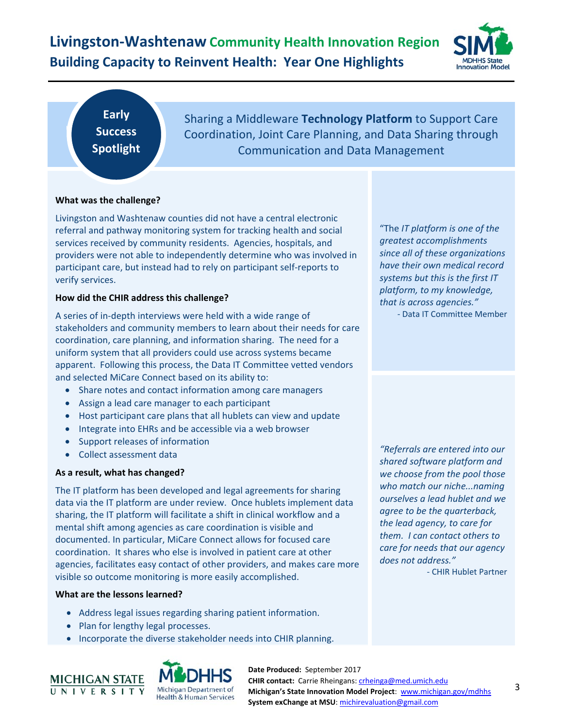## **Livingston‐Washtenaw Community Health Innovation Region Building Capacity to Reinvent Health: Year One Highlights**



### **Early Success Spotlight**

Sharing a Middleware **Technology Platform** to Support Care Coordination, Joint Care Planning, and Data Sharing through Communication and Data Management

#### **What was the challenge?**

Livingston and Washtenaw counties did not have a central electronic referral and pathway monitoring system for tracking health and social services received by community residents. Agencies, hospitals, and providers were not able to independently determine who was involved in participant care, but instead had to rely on participant self‐reports to verify services.

#### **How did the CHIR address this challenge?**

A series of in‐depth interviews were held with a wide range of stakeholders and community members to learn about their needs for care coordination, care planning, and information sharing. The need for a uniform system that all providers could use across systems became apparent. Following this process, the Data IT Committee vetted vendors and selected MiCare Connect based on its ability to:

- Share notes and contact information among care managers
- Assign a lead care manager to each participant
- Host participant care plans that all hublets can view and update
- Integrate into EHRs and be accessible via a web browser
- Support releases of information
- Collect assessment data

#### **As a result, what has changed?**

The IT platform has been developed and legal agreements for sharing data via the IT platform are under review. Once hublets implement data sharing, the IT platform will facilitate a shift in clinical workflow and a mental shift among agencies as care coordination is visible and documented. In particular, MiCare Connect allows for focused care coordination. It shares who else is involved in patient care at other agencies, facilitates easy contact of other providers, and makes care more visible so outcome monitoring is more easily accomplished.

#### **What are the lessons learned?**

- Address legal issues regarding sharing patient information.
- Plan for lengthy legal processes.
- Incorporate the diverse stakeholder needs into CHIR planning.



**Date Produced:**  September 2017 **CHIR contact:** Carrie Rheingans: crheinga@med.umich.edu **Michigan's State Innovation Model Project**: www.michigan.gov/mdhhs **System exChange at MSU**: michirevaluation@gmail.com

"The *IT platform is one of the greatest accomplishments since all of these organizations have their own medical record systems but this is the first IT platform, to my knowledge, that is across agencies."* ‐ Data IT Committee Member

*"Referrals are entered into our shared software platform and we choose from the pool those who match our niche...naming ourselves a lead hublet and we agree to be the quarterback, the lead agency, to care for them. I can contact others to care for needs that our agency does not address."* 

‐ CHIR Hublet Partner